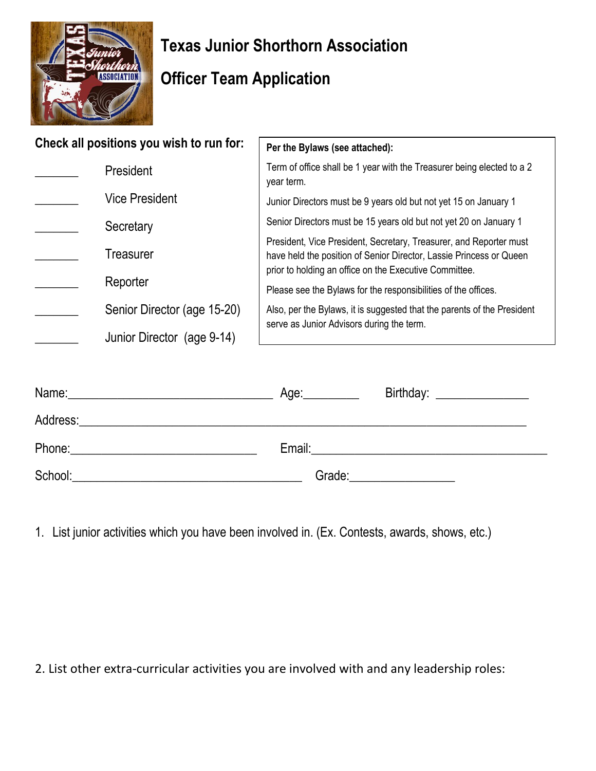

## **Texas Junior Shorthorn Association**

## **Officer Team Application**

| Check all positions you wish to run for: | Per the Bylaws (see attached):                                                                                                                                                                      |
|------------------------------------------|-----------------------------------------------------------------------------------------------------------------------------------------------------------------------------------------------------|
| President                                | Term of office shall be 1 year with the Treasurer being elected to a 2<br>year term.                                                                                                                |
| <b>Vice President</b>                    | Junior Directors must be 9 years old but not yet 15 on January 1                                                                                                                                    |
| Secretary                                | Senior Directors must be 15 years old but not yet 20 on January 1                                                                                                                                   |
| Treasurer                                | President, Vice President, Secretary, Treasurer, and Reporter must<br>have held the position of Senior Director, Lassie Princess or Queen<br>prior to holding an office on the Executive Committee. |
| Reporter                                 | Please see the Bylaws for the responsibilities of the offices.                                                                                                                                      |
| Senior Director (age 15-20)              | Also, per the Bylaws, it is suggested that the parents of the President<br>serve as Junior Advisors during the term.                                                                                |
| Junior Director (age 9-14)               |                                                                                                                                                                                                     |
|                                          |                                                                                                                                                                                                     |

| Name:<br><u> 1989 - Johann John Harry, mars and de British and de British and de British and de British and de British and</u> | Age:_________ | Birthday: ________________ |
|--------------------------------------------------------------------------------------------------------------------------------|---------------|----------------------------|
| Address:                                                                                                                       |               |                            |
| Phone:<br><u> 1980 - Jan Barbara Barbara, maskin politik (</u>                                                                 | Email:        |                            |
| School:                                                                                                                        | Grade:        |                            |

1. List junior activities which you have been involved in. (Ex. Contests, awards, shows, etc.)

2. List other extra-curricular activities you are involved with and any leadership roles: